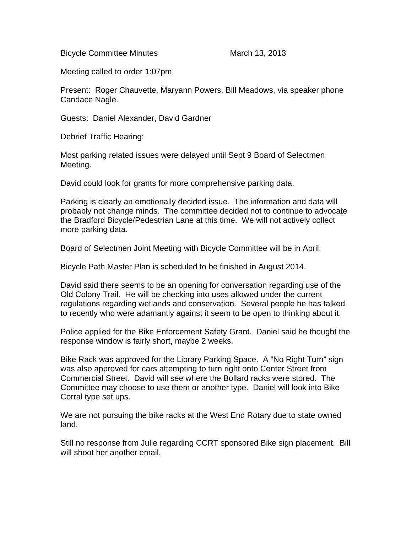Bicycle Committee Minutes March 13, 2013

Meeting called to order 1:07pm

Present: Roger Chauvette, Maryann Powers, Bill Meadows, via speaker phone Candace Nagle.

Guests: Daniel Alexander, David Gardner

Debrief Traffic Hearing:

Most parking related issues were delayed until Sept 9 Board of Selectmen Meeting.

David could look for grants for more comprehensive parking data.

Parking is clearly an emotionally decided issue. The information and data will probably not change minds. The committee decided not to continue to advocate the Bradford Bicycle/Pedestrian Lane at this time. We will not actively collect more parking data.

Board of Selectmen Joint Meeting with Bicycle Committee will be in April.

Bicycle Path Master Plan is scheduled to be finished in August 2014.

David said there seems to be an opening for conversation regarding use of the Old Colony Trail. He will be checking into uses allowed under the current regulations regarding wetlands and conservation. Several people he has talked to recently who were adamantly against it seem to be open to thinking about it.

Police applied for the Bike Enforcement Safety Grant. Daniel said he thought the response window is fairly short, maybe 2 weeks.

Bike Rack was approved for the Library Parking Space. A "No Right Turn" sign was also approved for cars attempting to turn right onto Center Street from Commercial Street. David will see where the Bollard racks were stored. The Committee may choose to use them or another type. Daniel will look into Bike Corral type set ups.

We are not pursuing the bike racks at the West End Rotary due to state owned land.

Still no response from Julie regarding CCRT sponsored Bike sign placement. Bill will shoot her another email.